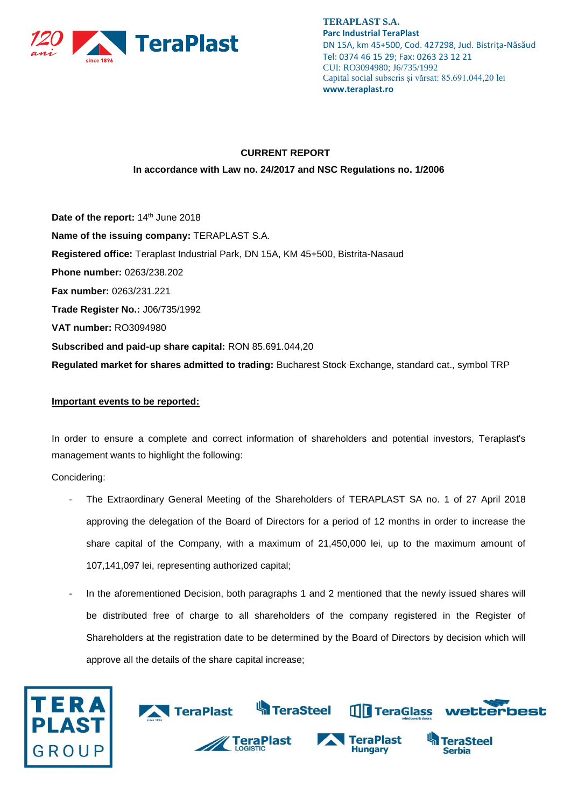

**TERAPLAST S.A. Parc Industrial TeraPlast** DN 15A, km 45+500, Cod. 427298, Jud. Bistriţa-Năsăud Tel: 0374 46 15 29; Fax: 0263 23 12 21 CUI: RO3094980; J6/735/1992 Capital social subscris și vărsat: 85.691.044,20 lei **www.teraplast.ro**

## **CURRENT REPORT In accordance with Law no. 24/2017 and NSC Regulations no. 1/2006**

Date of the report: 14<sup>th</sup> June 2018 **Name of the issuing company:** TERAPLAST S.A. **Registered office:** Teraplast Industrial Park, DN 15A, KM 45+500, Bistrita-Nasaud **Phone number:** 0263/238.202 **Fax number:** 0263/231.221 **Trade Register No.:** J06/735/1992 **VAT number:** RO3094980 **Subscribed and paid-up share capital:** RON 85.691.044,20 **Regulated market for shares admitted to trading:** Bucharest Stock Exchange, standard cat., symbol TRP

## **Important events to be reported:**

In order to ensure a complete and correct information of shareholders and potential investors, Teraplast's management wants to highlight the following:

Concidering:

- The Extraordinary General Meeting of the Shareholders of TERAPLAST SA no. 1 of 27 April 2018 approving the delegation of the Board of Directors for a period of 12 months in order to increase the share capital of the Company, with a maximum of 21,450,000 lei, up to the maximum amount of 107,141,097 lei, representing authorized capital;
- In the aforementioned Decision, both paragraphs 1 and 2 mentioned that the newly issued shares will be distributed free of charge to all shareholders of the company registered in the Register of Shareholders at the registration date to be determined by the Board of Directors by decision which will approve all the details of the share capital increase;